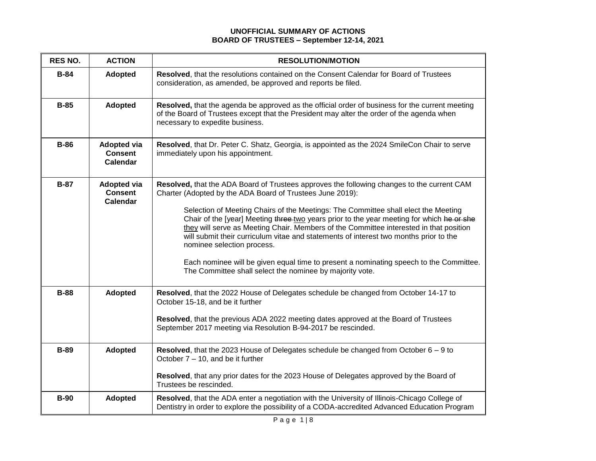## **UNOFFICIAL SUMMARY OF ACTIONS BOARD OF TRUSTEES – September 12-14, 2021**

| <b>RES NO.</b> | <b>ACTION</b>                                           | <b>RESOLUTION/MOTION</b>                                                                                                                                                                                                                                                                                                                                                                                                                                                                                                                                                                                                                                                                                          |
|----------------|---------------------------------------------------------|-------------------------------------------------------------------------------------------------------------------------------------------------------------------------------------------------------------------------------------------------------------------------------------------------------------------------------------------------------------------------------------------------------------------------------------------------------------------------------------------------------------------------------------------------------------------------------------------------------------------------------------------------------------------------------------------------------------------|
| $B-84$         | Adopted                                                 | Resolved, that the resolutions contained on the Consent Calendar for Board of Trustees<br>consideration, as amended, be approved and reports be filed.                                                                                                                                                                                                                                                                                                                                                                                                                                                                                                                                                            |
| $B-85$         | Adopted                                                 | Resolved, that the agenda be approved as the official order of business for the current meeting<br>of the Board of Trustees except that the President may alter the order of the agenda when<br>necessary to expedite business.                                                                                                                                                                                                                                                                                                                                                                                                                                                                                   |
| <b>B-86</b>    | <b>Adopted via</b><br><b>Consent</b><br><b>Calendar</b> | Resolved, that Dr. Peter C. Shatz, Georgia, is appointed as the 2024 SmileCon Chair to serve<br>immediately upon his appointment.                                                                                                                                                                                                                                                                                                                                                                                                                                                                                                                                                                                 |
| $B-87$         | <b>Adopted via</b><br><b>Consent</b><br><b>Calendar</b> | Resolved, that the ADA Board of Trustees approves the following changes to the current CAM<br>Charter (Adopted by the ADA Board of Trustees June 2019):<br>Selection of Meeting Chairs of the Meetings: The Committee shall elect the Meeting<br>Chair of the [year] Meeting three-two years prior to the year meeting for which he or she<br>they will serve as Meeting Chair. Members of the Committee interested in that position<br>will submit their curriculum vitae and statements of interest two months prior to the<br>nominee selection process.<br>Each nominee will be given equal time to present a nominating speech to the Committee.<br>The Committee shall select the nominee by majority vote. |
| <b>B-88</b>    | <b>Adopted</b>                                          | Resolved, that the 2022 House of Delegates schedule be changed from October 14-17 to<br>October 15-18, and be it further<br>Resolved, that the previous ADA 2022 meeting dates approved at the Board of Trustees<br>September 2017 meeting via Resolution B-94-2017 be rescinded.                                                                                                                                                                                                                                                                                                                                                                                                                                 |
| <b>B-89</b>    | <b>Adopted</b>                                          | Resolved, that the 2023 House of Delegates schedule be changed from October $6 - 9$ to<br>October 7 – 10, and be it further<br>Resolved, that any prior dates for the 2023 House of Delegates approved by the Board of<br>Trustees be rescinded.                                                                                                                                                                                                                                                                                                                                                                                                                                                                  |
| <b>B-90</b>    | <b>Adopted</b>                                          | Resolved, that the ADA enter a negotiation with the University of Illinois-Chicago College of<br>Dentistry in order to explore the possibility of a CODA-accredited Advanced Education Program                                                                                                                                                                                                                                                                                                                                                                                                                                                                                                                    |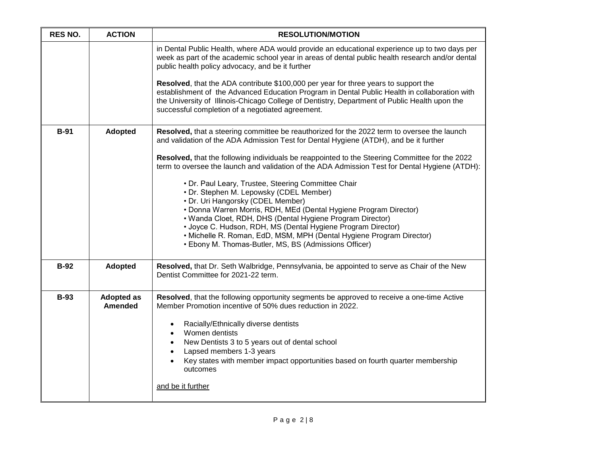| <b>RES NO.</b> | <b>ACTION</b>                | <b>RESOLUTION/MOTION</b>                                                                                                                                                                                                                                                                                                                          |
|----------------|------------------------------|---------------------------------------------------------------------------------------------------------------------------------------------------------------------------------------------------------------------------------------------------------------------------------------------------------------------------------------------------|
|                |                              | in Dental Public Health, where ADA would provide an educational experience up to two days per<br>week as part of the academic school year in areas of dental public health research and/or dental<br>public health policy advocacy, and be it further                                                                                             |
|                |                              | <b>Resolved</b> , that the ADA contribute \$100,000 per year for three years to support the<br>establishment of the Advanced Education Program in Dental Public Health in collaboration with<br>the University of Illinois-Chicago College of Dentistry, Department of Public Health upon the<br>successful completion of a negotiated agreement. |
| $B-91$         | <b>Adopted</b>               | Resolved, that a steering committee be reauthorized for the 2022 term to oversee the launch<br>and validation of the ADA Admission Test for Dental Hygiene (ATDH), and be it further                                                                                                                                                              |
|                |                              | Resolved, that the following individuals be reappointed to the Steering Committee for the 2022<br>term to oversee the launch and validation of the ADA Admission Test for Dental Hygiene (ATDH):                                                                                                                                                  |
|                |                              | • Dr. Paul Leary, Trustee, Steering Committee Chair<br>• Dr. Stephen M. Lepowsky (CDEL Member)                                                                                                                                                                                                                                                    |
|                |                              | • Dr. Uri Hangorsky (CDEL Member)<br>• Donna Warren Morris, RDH, MEd (Dental Hygiene Program Director)                                                                                                                                                                                                                                            |
|                |                              | • Wanda Cloet, RDH, DHS (Dental Hygiene Program Director)                                                                                                                                                                                                                                                                                         |
|                |                              | • Joyce C. Hudson, RDH, MS (Dental Hygiene Program Director)<br>• Michelle R. Roman, EdD, MSM, MPH (Dental Hygiene Program Director)<br>• Ebony M. Thomas-Butler, MS, BS (Admissions Officer)                                                                                                                                                     |
| <b>B-92</b>    | Adopted                      | Resolved, that Dr. Seth Walbridge, Pennsylvania, be appointed to serve as Chair of the New<br>Dentist Committee for 2021-22 term.                                                                                                                                                                                                                 |
| <b>B-93</b>    | <b>Adopted as</b><br>Amended | Resolved, that the following opportunity segments be approved to receive a one-time Active<br>Member Promotion incentive of 50% dues reduction in 2022.                                                                                                                                                                                           |
|                |                              | Racially/Ethnically diverse dentists<br>Women dentists                                                                                                                                                                                                                                                                                            |
|                |                              | New Dentists 3 to 5 years out of dental school<br>$\bullet$                                                                                                                                                                                                                                                                                       |
|                |                              | Lapsed members 1-3 years<br>$\bullet$<br>Key states with member impact opportunities based on fourth quarter membership<br>outcomes                                                                                                                                                                                                               |
|                |                              | and be it further                                                                                                                                                                                                                                                                                                                                 |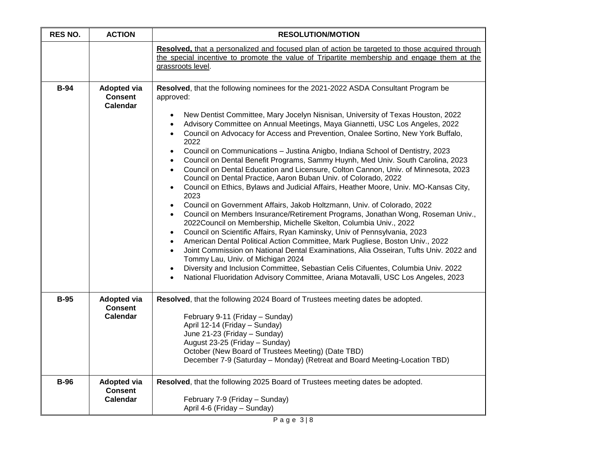| <b>RES NO.</b> | <b>ACTION</b>                                           | <b>RESOLUTION/MOTION</b>                                                                                                                                                                                                                                                                                                                                                                                                                                                                                                                                                                                                                                                                                                                                                                                                                                                                                                                                                                                                                                                                                                                                                                                                                                                                                                                                                                                                                                                                                                                                                                                                                           |
|----------------|---------------------------------------------------------|----------------------------------------------------------------------------------------------------------------------------------------------------------------------------------------------------------------------------------------------------------------------------------------------------------------------------------------------------------------------------------------------------------------------------------------------------------------------------------------------------------------------------------------------------------------------------------------------------------------------------------------------------------------------------------------------------------------------------------------------------------------------------------------------------------------------------------------------------------------------------------------------------------------------------------------------------------------------------------------------------------------------------------------------------------------------------------------------------------------------------------------------------------------------------------------------------------------------------------------------------------------------------------------------------------------------------------------------------------------------------------------------------------------------------------------------------------------------------------------------------------------------------------------------------------------------------------------------------------------------------------------------------|
|                |                                                         | Resolved, that a personalized and focused plan of action be targeted to those acquired through<br>the special incentive to promote the value of Tripartite membership and engage them at the<br>grassroots level.                                                                                                                                                                                                                                                                                                                                                                                                                                                                                                                                                                                                                                                                                                                                                                                                                                                                                                                                                                                                                                                                                                                                                                                                                                                                                                                                                                                                                                  |
| <b>B-94</b>    | <b>Adopted via</b><br><b>Consent</b><br><b>Calendar</b> | Resolved, that the following nominees for the 2021-2022 ASDA Consultant Program be<br>approved:<br>New Dentist Committee, Mary Jocelyn Nisnisan, University of Texas Houston, 2022<br>Advisory Committee on Annual Meetings, Maya Giannetti, USC Los Angeles, 2022<br>$\bullet$<br>Council on Advocacy for Access and Prevention, Onalee Sortino, New York Buffalo,<br>$\bullet$<br>2022<br>Council on Communications - Justina Anigbo, Indiana School of Dentistry, 2023<br>$\bullet$<br>Council on Dental Benefit Programs, Sammy Huynh, Med Univ. South Carolina, 2023<br>$\bullet$<br>Council on Dental Education and Licensure, Colton Cannon, Univ. of Minnesota, 2023<br>$\bullet$<br>Council on Dental Practice, Aaron Buban Univ. of Colorado, 2022<br>Council on Ethics, Bylaws and Judicial Affairs, Heather Moore, Univ. MO-Kansas City,<br>$\bullet$<br>2023<br>Council on Government Affairs, Jakob Holtzmann, Univ. of Colorado, 2022<br>$\bullet$<br>Council on Members Insurance/Retirement Programs, Jonathan Wong, Roseman Univ.,<br>$\bullet$<br>2022Council on Membership, Michelle Skelton, Columbia Univ., 2022<br>Council on Scientific Affairs, Ryan Kaminsky, Univ of Pennsylvania, 2023<br>$\bullet$<br>American Dental Political Action Committee, Mark Pugliese, Boston Univ., 2022<br>$\bullet$<br>Joint Commission on National Dental Examinations, Alia Osseiran, Tufts Univ. 2022 and<br>$\bullet$<br>Tommy Lau, Univ. of Michigan 2024<br>Diversity and Inclusion Committee, Sebastian Celis Cifuentes, Columbia Univ. 2022<br>National Fluoridation Advisory Committee, Ariana Motavalli, USC Los Angeles, 2023 |
| <b>B-95</b>    | <b>Adopted via</b><br><b>Consent</b><br>Calendar        | Resolved, that the following 2024 Board of Trustees meeting dates be adopted.<br>February 9-11 (Friday - Sunday)<br>April 12-14 (Friday - Sunday)<br>June 21-23 (Friday - Sunday)<br>August 23-25 (Friday - Sunday)<br>October (New Board of Trustees Meeting) (Date TBD)<br>December 7-9 (Saturday - Monday) (Retreat and Board Meeting-Location TBD)                                                                                                                                                                                                                                                                                                                                                                                                                                                                                                                                                                                                                                                                                                                                                                                                                                                                                                                                                                                                                                                                                                                                                                                                                                                                                             |
| <b>B-96</b>    | <b>Adopted via</b><br><b>Consent</b><br><b>Calendar</b> | Resolved, that the following 2025 Board of Trustees meeting dates be adopted.<br>February 7-9 (Friday - Sunday)<br>April 4-6 (Friday - Sunday)                                                                                                                                                                                                                                                                                                                                                                                                                                                                                                                                                                                                                                                                                                                                                                                                                                                                                                                                                                                                                                                                                                                                                                                                                                                                                                                                                                                                                                                                                                     |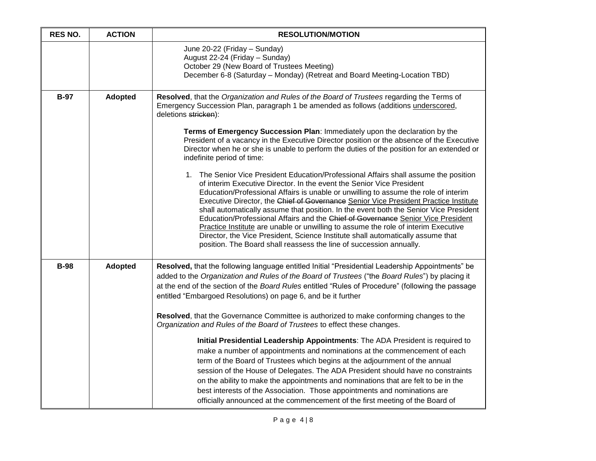| <b>RES NO.</b> | <b>ACTION</b>  | <b>RESOLUTION/MOTION</b>                                                                                                                                                                                                                                                                                                                                                                                                                                                                                                                                                                                                                                                                                                                                                   |
|----------------|----------------|----------------------------------------------------------------------------------------------------------------------------------------------------------------------------------------------------------------------------------------------------------------------------------------------------------------------------------------------------------------------------------------------------------------------------------------------------------------------------------------------------------------------------------------------------------------------------------------------------------------------------------------------------------------------------------------------------------------------------------------------------------------------------|
|                |                | June 20-22 (Friday - Sunday)<br>August 22-24 (Friday - Sunday)<br>October 29 (New Board of Trustees Meeting)<br>December 6-8 (Saturday - Monday) (Retreat and Board Meeting-Location TBD)                                                                                                                                                                                                                                                                                                                                                                                                                                                                                                                                                                                  |
| <b>B-97</b>    | Adopted        | Resolved, that the Organization and Rules of the Board of Trustees regarding the Terms of<br>Emergency Succession Plan, paragraph 1 be amended as follows (additions underscored,<br>deletions stricken):                                                                                                                                                                                                                                                                                                                                                                                                                                                                                                                                                                  |
|                |                | Terms of Emergency Succession Plan: Immediately upon the declaration by the<br>President of a vacancy in the Executive Director position or the absence of the Executive<br>Director when he or she is unable to perform the duties of the position for an extended or<br>indefinite period of time:                                                                                                                                                                                                                                                                                                                                                                                                                                                                       |
|                |                | 1. The Senior Vice President Education/Professional Affairs shall assume the position<br>of interim Executive Director. In the event the Senior Vice President<br>Education/Professional Affairs is unable or unwilling to assume the role of interim<br>Executive Director, the Chief of Governance Senior Vice President Practice Institute<br>shall automatically assume that position. In the event both the Senior Vice President<br>Education/Professional Affairs and the Chief of Governance Senior Vice President<br>Practice Institute are unable or unwilling to assume the role of interim Executive<br>Director, the Vice President, Science Institute shall automatically assume that<br>position. The Board shall reassess the line of succession annually. |
| <b>B-98</b>    | <b>Adopted</b> | Resolved, that the following language entitled Initial "Presidential Leadership Appointments" be<br>added to the Organization and Rules of the Board of Trustees ("the Board Rules") by placing it<br>at the end of the section of the Board Rules entitled "Rules of Procedure" (following the passage<br>entitled "Embargoed Resolutions) on page 6, and be it further                                                                                                                                                                                                                                                                                                                                                                                                   |
|                |                | Resolved, that the Governance Committee is authorized to make conforming changes to the<br>Organization and Rules of the Board of Trustees to effect these changes.                                                                                                                                                                                                                                                                                                                                                                                                                                                                                                                                                                                                        |
|                |                | Initial Presidential Leadership Appointments: The ADA President is required to<br>make a number of appointments and nominations at the commencement of each<br>term of the Board of Trustees which begins at the adjournment of the annual<br>session of the House of Delegates. The ADA President should have no constraints<br>on the ability to make the appointments and nominations that are felt to be in the<br>best interests of the Association. Those appointments and nominations are<br>officially announced at the commencement of the first meeting of the Board of                                                                                                                                                                                          |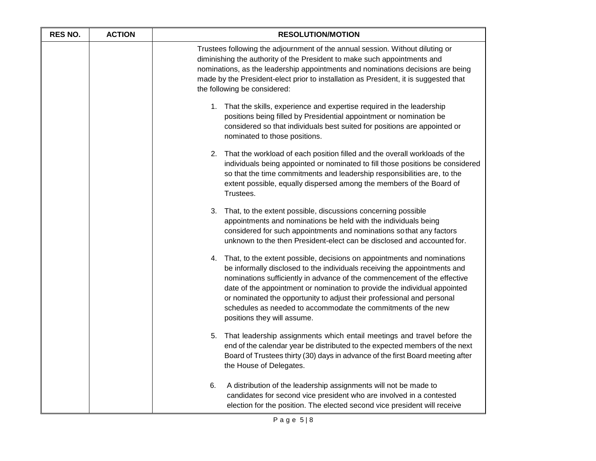| <b>RES NO.</b> | <b>ACTION</b> | <b>RESOLUTION/MOTION</b>                                                                                                                                                                                                                                                                                                                                                                                                                                                                      |
|----------------|---------------|-----------------------------------------------------------------------------------------------------------------------------------------------------------------------------------------------------------------------------------------------------------------------------------------------------------------------------------------------------------------------------------------------------------------------------------------------------------------------------------------------|
|                |               | Trustees following the adjournment of the annual session. Without diluting or<br>diminishing the authority of the President to make such appointments and<br>nominations, as the leadership appointments and nominations decisions are being<br>made by the President-elect prior to installation as President, it is suggested that<br>the following be considered:                                                                                                                          |
|                |               | 1. That the skills, experience and expertise required in the leadership<br>positions being filled by Presidential appointment or nomination be<br>considered so that individuals best suited for positions are appointed or<br>nominated to those positions.                                                                                                                                                                                                                                  |
|                |               | That the workload of each position filled and the overall workloads of the<br>2.<br>individuals being appointed or nominated to fill those positions be considered<br>so that the time commitments and leadership responsibilities are, to the<br>extent possible, equally dispersed among the members of the Board of<br>Trustees.                                                                                                                                                           |
|                |               | That, to the extent possible, discussions concerning possible<br>3.<br>appointments and nominations be held with the individuals being<br>considered for such appointments and nominations so that any factors<br>unknown to the then President-elect can be disclosed and accounted for.                                                                                                                                                                                                     |
|                |               | That, to the extent possible, decisions on appointments and nominations<br>4.<br>be informally disclosed to the individuals receiving the appointments and<br>nominations sufficiently in advance of the commencement of the effective<br>date of the appointment or nomination to provide the individual appointed<br>or nominated the opportunity to adjust their professional and personal<br>schedules as needed to accommodate the commitments of the new<br>positions they will assume. |
|                |               | That leadership assignments which entail meetings and travel before the<br>5.<br>end of the calendar year be distributed to the expected members of the next<br>Board of Trustees thirty (30) days in advance of the first Board meeting after<br>the House of Delegates.                                                                                                                                                                                                                     |
|                |               | 6.<br>A distribution of the leadership assignments will not be made to<br>candidates for second vice president who are involved in a contested<br>election for the position. The elected second vice president will receive                                                                                                                                                                                                                                                                   |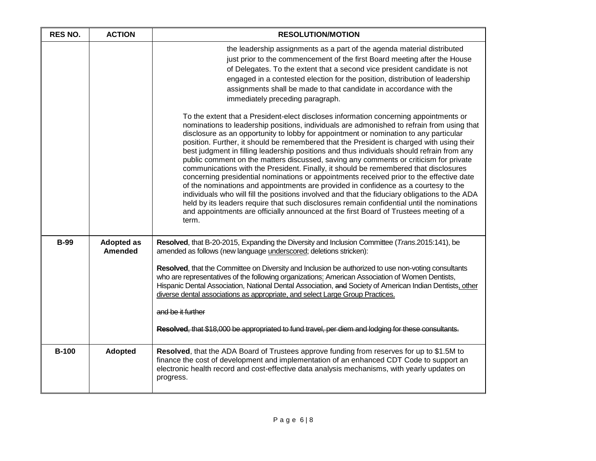| <b>RES NO.</b> | <b>ACTION</b>                       | <b>RESOLUTION/MOTION</b>                                                                                                                                                                                                                                                                                                                                                                                                                                                                                                                                                                                                                                                                                                                                                                                                                                                                                                                                                                                                                                                                                                                       |
|----------------|-------------------------------------|------------------------------------------------------------------------------------------------------------------------------------------------------------------------------------------------------------------------------------------------------------------------------------------------------------------------------------------------------------------------------------------------------------------------------------------------------------------------------------------------------------------------------------------------------------------------------------------------------------------------------------------------------------------------------------------------------------------------------------------------------------------------------------------------------------------------------------------------------------------------------------------------------------------------------------------------------------------------------------------------------------------------------------------------------------------------------------------------------------------------------------------------|
|                |                                     | the leadership assignments as a part of the agenda material distributed<br>just prior to the commencement of the first Board meeting after the House<br>of Delegates. To the extent that a second vice president candidate is not<br>engaged in a contested election for the position, distribution of leadership<br>assignments shall be made to that candidate in accordance with the<br>immediately preceding paragraph.                                                                                                                                                                                                                                                                                                                                                                                                                                                                                                                                                                                                                                                                                                                    |
|                |                                     | To the extent that a President-elect discloses information concerning appointments or<br>nominations to leadership positions, individuals are admonished to refrain from using that<br>disclosure as an opportunity to lobby for appointment or nomination to any particular<br>position. Further, it should be remembered that the President is charged with using their<br>best judgment in filling leadership positions and thus individuals should refrain from any<br>public comment on the matters discussed, saving any comments or criticism for private<br>communications with the President. Finally, it should be remembered that disclosures<br>concerning presidential nominations or appointments received prior to the effective date<br>of the nominations and appointments are provided in confidence as a courtesy to the<br>individuals who will fill the positions involved and that the fiduciary obligations to the ADA<br>held by its leaders require that such disclosures remain confidential until the nominations<br>and appointments are officially announced at the first Board of Trustees meeting of a<br>term. |
| <b>B-99</b>    | <b>Adopted as</b><br><b>Amended</b> | Resolved, that B-20-2015, Expanding the Diversity and Inclusion Committee (Trans.2015:141), be<br>amended as follows (new language underscored; deletions stricken):                                                                                                                                                                                                                                                                                                                                                                                                                                                                                                                                                                                                                                                                                                                                                                                                                                                                                                                                                                           |
|                |                                     | Resolved, that the Committee on Diversity and Inclusion be authorized to use non-voting consultants<br>who are representatives of the following organizations: American Association of Women Dentists,<br>Hispanic Dental Association, National Dental Association, and Society of American Indian Dentists, other<br>diverse dental associations as appropriate, and select Large Group Practices.<br>and be it further<br>Resolved, that \$18,000 be appropriated to fund travel, per diem and lodging for these consultants.                                                                                                                                                                                                                                                                                                                                                                                                                                                                                                                                                                                                                |
| <b>B-100</b>   | <b>Adopted</b>                      | Resolved, that the ADA Board of Trustees approve funding from reserves for up to \$1.5M to<br>finance the cost of development and implementation of an enhanced CDT Code to support an<br>electronic health record and cost-effective data analysis mechanisms, with yearly updates on<br>progress.                                                                                                                                                                                                                                                                                                                                                                                                                                                                                                                                                                                                                                                                                                                                                                                                                                            |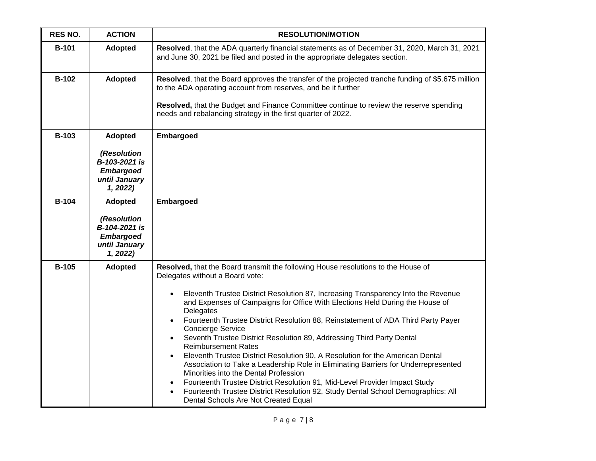| <b>RES NO.</b> | <b>ACTION</b>                                                                                   | <b>RESOLUTION/MOTION</b>                                                                                                                                                                                                                                                                                                                                                                                                                                                                                                                                                                                                                                                                                                                                                                                                                                                                                                                                 |
|----------------|-------------------------------------------------------------------------------------------------|----------------------------------------------------------------------------------------------------------------------------------------------------------------------------------------------------------------------------------------------------------------------------------------------------------------------------------------------------------------------------------------------------------------------------------------------------------------------------------------------------------------------------------------------------------------------------------------------------------------------------------------------------------------------------------------------------------------------------------------------------------------------------------------------------------------------------------------------------------------------------------------------------------------------------------------------------------|
| <b>B-101</b>   | <b>Adopted</b>                                                                                  | Resolved, that the ADA quarterly financial statements as of December 31, 2020, March 31, 2021<br>and June 30, 2021 be filed and posted in the appropriate delegates section.                                                                                                                                                                                                                                                                                                                                                                                                                                                                                                                                                                                                                                                                                                                                                                             |
| <b>B-102</b>   | <b>Adopted</b>                                                                                  | Resolved, that the Board approves the transfer of the projected tranche funding of \$5.675 million<br>to the ADA operating account from reserves, and be it further<br>Resolved, that the Budget and Finance Committee continue to review the reserve spending<br>needs and rebalancing strategy in the first quarter of 2022.                                                                                                                                                                                                                                                                                                                                                                                                                                                                                                                                                                                                                           |
| <b>B-103</b>   | <b>Adopted</b><br>(Resolution<br>B-103-2021 is<br><b>Embargoed</b><br>until January<br>1, 2022) | Embargoed                                                                                                                                                                                                                                                                                                                                                                                                                                                                                                                                                                                                                                                                                                                                                                                                                                                                                                                                                |
| <b>B-104</b>   | <b>Adopted</b><br>(Resolution<br>B-104-2021 is<br><b>Embargoed</b><br>until January<br>1, 2022) | <b>Embargoed</b>                                                                                                                                                                                                                                                                                                                                                                                                                                                                                                                                                                                                                                                                                                                                                                                                                                                                                                                                         |
| <b>B-105</b>   | <b>Adopted</b>                                                                                  | Resolved, that the Board transmit the following House resolutions to the House of<br>Delegates without a Board vote:<br>Eleventh Trustee District Resolution 87, Increasing Transparency Into the Revenue<br>and Expenses of Campaigns for Office With Elections Held During the House of<br>Delegates<br>Fourteenth Trustee District Resolution 88, Reinstatement of ADA Third Party Payer<br><b>Concierge Service</b><br>Seventh Trustee District Resolution 89, Addressing Third Party Dental<br><b>Reimbursement Rates</b><br>Eleventh Trustee District Resolution 90, A Resolution for the American Dental<br>Association to Take a Leadership Role in Eliminating Barriers for Underrepresented<br>Minorities into the Dental Profession<br>Fourteenth Trustee District Resolution 91, Mid-Level Provider Impact Study<br>Fourteenth Trustee District Resolution 92, Study Dental School Demographics: All<br>Dental Schools Are Not Created Equal |